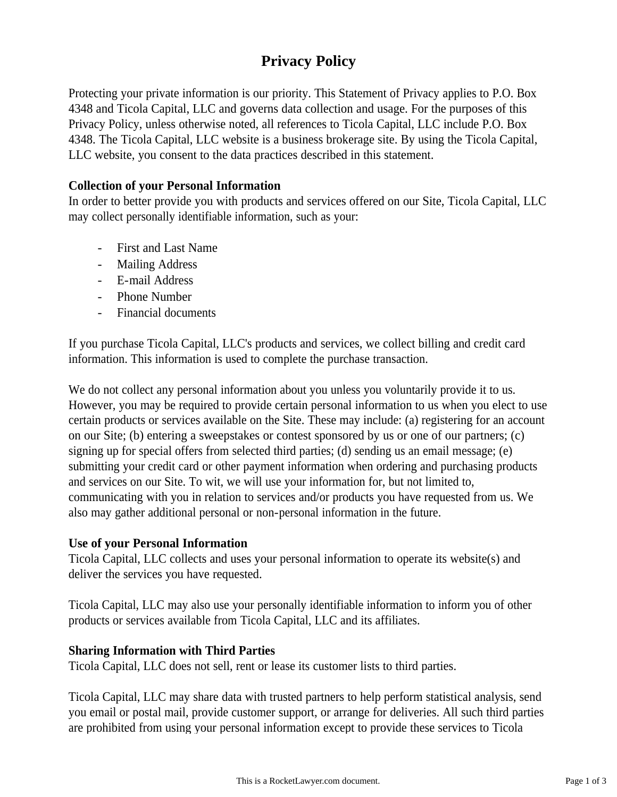# **Privacy Policy**

Protecting your private information is our priority. This Statement of Privacy applies to P.O. Box 4348 and Ticola Capital, LLC and governs data collection and usage. For the purposes of this Privacy Policy, unless otherwise noted, all references to Ticola Capital, LLC include P.O. Box 4348. The Ticola Capital, LLC website is a business brokerage site. By using the Ticola Capital, LLC website, you consent to the data practices described in this statement.

### **Collection of your Personal Information**

In order to better provide you with products and services offered on our Site, Ticola Capital, LLC may collect personally identifiable information, such as your:

- First and Last Name
- Mailing Address
- E-mail Address
- Phone Number
- Financial documents

If you purchase Ticola Capital, LLC's products and services, we collect billing and credit card information. This information is used to complete the purchase transaction.

We do not collect any personal information about you unless you voluntarily provide it to us. However, you may be required to provide certain personal information to us when you elect to use certain products or services available on the Site. These may include: (a) registering for an account on our Site; (b) entering a sweepstakes or contest sponsored by us or one of our partners; (c) signing up for special offers from selected third parties; (d) sending us an email message; (e) submitting your credit card or other payment information when ordering and purchasing products and services on our Site. To wit, we will use your information for, but not limited to, communicating with you in relation to services and/or products you have requested from us. We also may gather additional personal or non-personal information in the future.

#### **Use of your Personal Information**

Ticola Capital, LLC collects and uses your personal information to operate its website(s) and deliver the services you have requested.

Ticola Capital, LLC may also use your personally identifiable information to inform you of other products or services available from Ticola Capital, LLC and its affiliates.

#### **Sharing Information with Third Parties**

Ticola Capital, LLC does not sell, rent or lease its customer lists to third parties.

Ticola Capital, LLC may share data with trusted partners to help perform statistical analysis, send you email or postal mail, provide customer support, or arrange for deliveries. All such third parties are prohibited from using your personal information except to provide these services to Ticola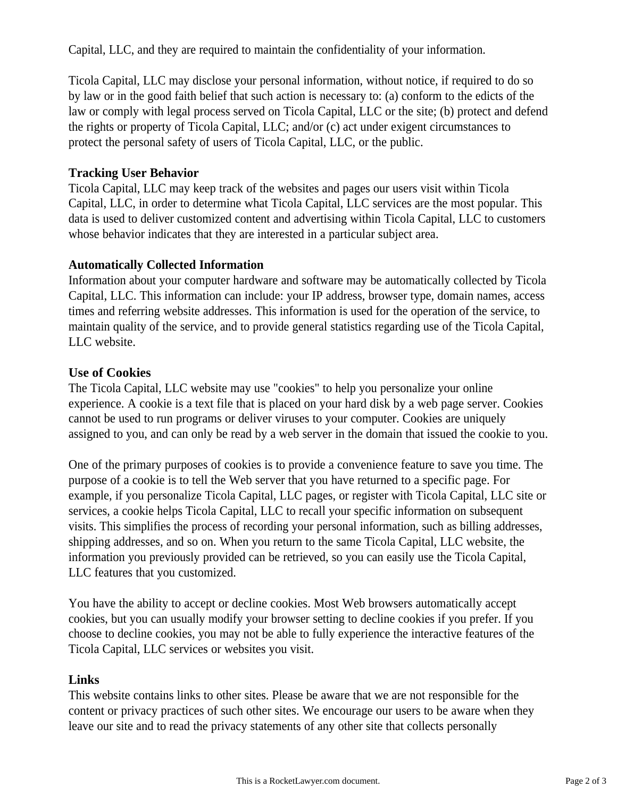Capital, LLC, and they are required to maintain the confidentiality of your information.

Ticola Capital, LLC may disclose your personal information, without notice, if required to do so by law or in the good faith belief that such action is necessary to: (a) conform to the edicts of the law or comply with legal process served on Ticola Capital, LLC or the site; (b) protect and defend the rights or property of Ticola Capital, LLC; and/or (c) act under exigent circumstances to protect the personal safety of users of Ticola Capital, LLC, or the public.

# **Tracking User Behavior**

Ticola Capital, LLC may keep track of the websites and pages our users visit within Ticola Capital, LLC, in order to determine what Ticola Capital, LLC services are the most popular. This data is used to deliver customized content and advertising within Ticola Capital, LLC to customers whose behavior indicates that they are interested in a particular subject area.

## **Automatically Collected Information**

Information about your computer hardware and software may be automatically collected by Ticola Capital, LLC. This information can include: your IP address, browser type, domain names, access times and referring website addresses. This information is used for the operation of the service, to maintain quality of the service, and to provide general statistics regarding use of the Ticola Capital, LLC website.

# **Use of Cookies**

The Ticola Capital, LLC website may use "cookies" to help you personalize your online experience. A cookie is a text file that is placed on your hard disk by a web page server. Cookies cannot be used to run programs or deliver viruses to your computer. Cookies are uniquely assigned to you, and can only be read by a web server in the domain that issued the cookie to you.

One of the primary purposes of cookies is to provide a convenience feature to save you time. The purpose of a cookie is to tell the Web server that you have returned to a specific page. For example, if you personalize Ticola Capital, LLC pages, or register with Ticola Capital, LLC site or services, a cookie helps Ticola Capital, LLC to recall your specific information on subsequent visits. This simplifies the process of recording your personal information, such as billing addresses, shipping addresses, and so on. When you return to the same Ticola Capital, LLC website, the information you previously provided can be retrieved, so you can easily use the Ticola Capital, LLC features that you customized.

You have the ability to accept or decline cookies. Most Web browsers automatically accept cookies, but you can usually modify your browser setting to decline cookies if you prefer. If you choose to decline cookies, you may not be able to fully experience the interactive features of the Ticola Capital, LLC services or websites you visit.

# **Links**

This website contains links to other sites. Please be aware that we are not responsible for the content or privacy practices of such other sites. We encourage our users to be aware when they leave our site and to read the privacy statements of any other site that collects personally